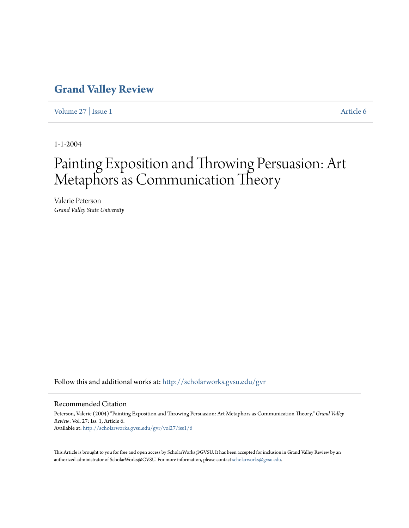### **[Grand Valley Review](http://scholarworks.gvsu.edu/gvr?utm_source=scholarworks.gvsu.edu%2Fgvr%2Fvol27%2Fiss1%2F6&utm_medium=PDF&utm_campaign=PDFCoverPages)**

[Volume 27](http://scholarworks.gvsu.edu/gvr/vol27?utm_source=scholarworks.gvsu.edu%2Fgvr%2Fvol27%2Fiss1%2F6&utm_medium=PDF&utm_campaign=PDFCoverPages) | [Issue 1](http://scholarworks.gvsu.edu/gvr/vol27/iss1?utm_source=scholarworks.gvsu.edu%2Fgvr%2Fvol27%2Fiss1%2F6&utm_medium=PDF&utm_campaign=PDFCoverPages) [Article 6](http://scholarworks.gvsu.edu/gvr/vol27/iss1/6?utm_source=scholarworks.gvsu.edu%2Fgvr%2Fvol27%2Fiss1%2F6&utm_medium=PDF&utm_campaign=PDFCoverPages)

1-1-2004

## Painting Exposition and Throwing Persuasion: Art Metaphors as Communication Theory

Valerie Peterson *Grand Valley State University*

Follow this and additional works at: [http://scholarworks.gvsu.edu/gvr](http://scholarworks.gvsu.edu/gvr?utm_source=scholarworks.gvsu.edu%2Fgvr%2Fvol27%2Fiss1%2F6&utm_medium=PDF&utm_campaign=PDFCoverPages)

#### Recommended Citation

Peterson, Valerie (2004) "Painting Exposition and Throwing Persuasion: Art Metaphors as Communication Theory," *Grand Valley Review*: Vol. 27: Iss. 1, Article 6. Available at: [http://scholarworks.gvsu.edu/gvr/vol27/iss1/6](http://scholarworks.gvsu.edu/gvr/vol27/iss1/6?utm_source=scholarworks.gvsu.edu%2Fgvr%2Fvol27%2Fiss1%2F6&utm_medium=PDF&utm_campaign=PDFCoverPages)

This Article is brought to you for free and open access by ScholarWorks@GVSU. It has been accepted for inclusion in Grand Valley Review by an authorized administrator of ScholarWorks@GVSU. For more information, please contact [scholarworks@gvsu.edu.](mailto:scholarworks@gvsu.edu)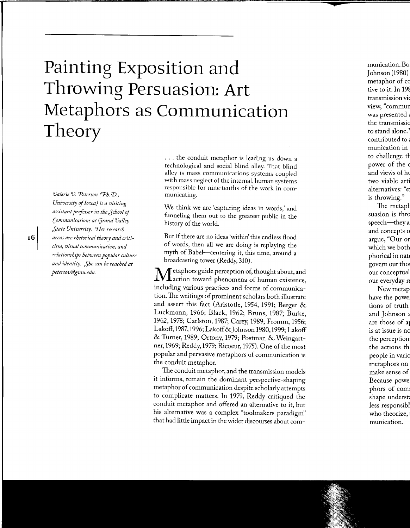# **Painting Exposition and Throwing Persuasion: Art Metaphors as Communication Theory**

*Valerie V. Peterson (Ph.* 'D., *University* of *Iowa) is a visiting assistant professor in the Jchool* of *Communications at (jrand Valley Jtate University. 'lfer research areas are rhetorical theory and criticism, visual communication, and relationships between popular culture and identity. Jhe can be reached at petersov@gvsu. edu.* 

... the conduit metaphor is leading us down a technological and social blind alley. That blind alley is mass communications systems coupled with mass neglect of the internal. human systems responsible for nine-tenths of the work in communicating.

We think we are 'capturing ideas in words,' and funneling them out to the greatest public in the history of the world.

But if there are no ideas 'within' this endless flood of words, then all we are doing is replaying the myth of Babel-centering it, this time, around a broadcasting tower (Reddy, 310).

**M**etaphors guide perception of, thought about, and action toward phenomena of human existence, including various practices and forms of communication. The writings of prominent scholars both illustrate and assert this fact (Aristotle, 1954, 1991; Berger & Luckmann, 1966; Black, 1962; Bruns, 1987; Burke, 1962, 1978; Carlston, 1987; Carey, 1989; Fromm, 1956; Lakoff, 1987, 1996; Lakoff &Johnson 1980, 1999; Lakoff & Turner, 1989; Ortony, 1979; Postman & Weingartner, 1969; Reddy, 1979; Ricoeur, 1975). One of the most popular and pervasive metaphors of communication is the conduit metaphor.

The conduit metaphor, and the transmission models it informs, remain the dominant perspective-shaping metaphor of communication despite scholarly attempts to complicate matters. In 1979, Reddy critiqued the conduit metaphor and offered an alternative to it, but his alternative was a complex "toolmakers paradigm'' that had little impact in the wider discourses about com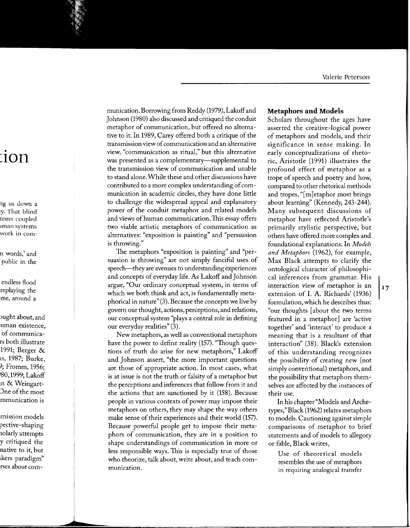munication. Borrowing from Reddy (1979), Lakoff and Johnson (1980) also discussed and critiqued the conduit metaphor of communication, but offered no alternative to it. In 1989, Carey offered both a critique of the transmission view of communication and an alternative view, "communication as ritual," but this alternative was presented as a complementary-supplemental to the transmission view of communication and unable to stand alone. While these and other discussions have contributed to a more complex understanding of communication in academic circles, they have done little to challenge the widespread appeal and explanatory power of the conduit metaphor and related models and views of human communication. This essay offers two viable artistic metaphors of communication as alternatives: "exposition is painting" and "persuasion is throwing."

The metaphors "exposition is painting" and "persuasion is throwing" are not simply fanciful uses of speech—they are avenues to understanding experiences and concepts of everyday life. As Lakoff and Johnson argue, "Our ordinary conceptual system, in terms of which we both think and act, is fundamentally metaphorical in nature" $(3)$ . Because the concepts we live by govern our thought, actions, perceptions, and relations, our conceptual system "plays a central role in defining our everyday realities" (3).

New metaphors, as well as conventional metaphors have the power to define reality (157). "Though questions of truth do arise for new metaphors," Lakoff and Johnson assert, "the more important questions are those of appropriate action. In most cases, what is at issue is not the truth or falsity of a metaphor but the perceptions and inferences that follow from it and the actions that are sanctioned by it (158). Because people in various contexts of power may impose their metaphors on others, they may shape the way others make sense of their experiences and their world (157). Because powerful people get to impose their metaphors of communication, they are in a position to shape understandings of communication in more or less responsible ways. This is especially true of those who theorize, talk about, write about, and teach communication.

#### **Metaphors and Models**

Scholars throughout the ages have asserted the creative-logical power of metaphors and models, and their significance in sense making. In early conceptualizations of rhetoric, Aristotle (1991) illustrates the profound effect of metaphor as a trope of speech and poetry and how, compared to other rhetorical methods and tropes, "[m] etaphor most brings about learning" (Kennedy, 243-244). Many subsequent discussions of metaphor have reflected Aristotle's primarily stylistic perspective, but others have offered more complex and foundational explanations. In Models and Metaphors (1962), for example, Max Black attempts to clarify the ontological character of philosophical inferences from grammar. His interaction view of metaphor is an extension of I. A. Richards' (1936) formulation, which he describes thus: "our thoughts [about the two terms featured in a metaphor] are 'active together' and 'interact' to produce a meaning that is a resultant of that interaction" (38). Black's extension of this understanding recognizes the possibility of creating new (not simply conventional) metaphors, and the possibility that metaphors themselves are affected by the instances of their use.

In his chapter "Models and Archetypes," Black (1962) relates metaphors to models. Cautioning against simple comparisons of metaphor to brief statements and of models to allegory or fable, Black writes,

Use of theoretical models resembles the use of metaphors in requiring analogical transfer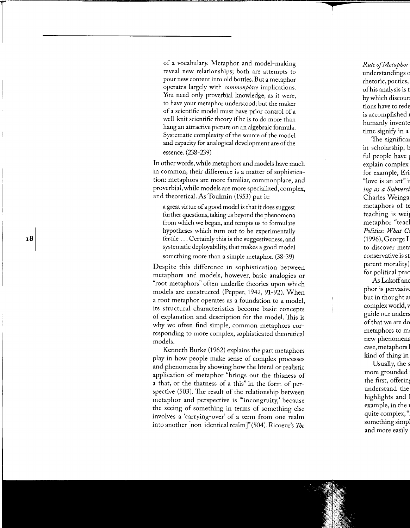of a vocabulary. Metaphor and model-making reveal new relationships; both are attempts to pour new content into old bottles. But a metaphor operates largely with *commonplace* implications. You need only proverbial knowledge, as it were, to have your metaphor understood; but the maker of a scientific model must have prior control of a well-knit scientific theory if he is to do more than hang an attractive picture on an algebraic formula. Systematic complexity of the source of the model and capacity for analogical development are of the essence. (238-239)

In other words, while metaphors and models have much in common, their difference is a matter of sophistication: metaphors are more familiar, commonplace, and proverbial, while models are more specialized, complex, and theoretical. As Toulmin (1953) put it:

a great virtue of a good model is that it does suggest further questions, taking us beyond the phenomena from which we began, and tempts us to formulate hypotheses which turn out to be experimentally fertile ... Certainly this is the suggestiveness, and systematic deployability, that makes a good model something more than a simple metaphor. (38-39)

Despite this difference in sophistication between metaphors and models, however, basic analogies or "root metaphors" often underlie theories upon which models are constructed (Pepper, 1942, 91-92). When a root metaphor operates as a foundation to a model, its structural characteristics become basic concepts of explanation and description for the model. This is why we often find simple, common metaphors corresponding to more complex, sophisticated theoretical models.

Kenneth Burke (1962) explains the part metaphors play in how people make sense of complex processes and phenomena by showing how the literal or realistic application of metaphor "brings out the thisness of a that, or the thatness of a this" in the form of perspective (503). The result of the relationship between metaphor and perspective is "incongruity,' because the seeing of something in terms of something else involves a 'carrying-over' of a term from one realm into another [non-identical realm]"(504). Ricoeur's *1be*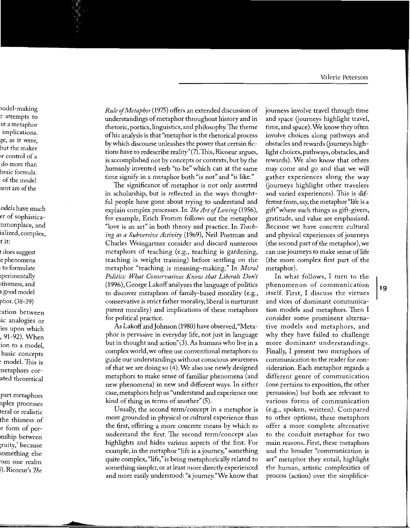*Rule* of *Metaphor* (1975) offers an extended discussion of understandings of metaphor throughout history and in rhetoric, poetics, linguistics, and philosophy. The theme of his analysis is that "metaphor is the rhetorical process by which discourse unleashes the power that certain fictions have to redescribe reality" (7) .This, Ricoeur argues, is accomplished not by concepts or contexts, but by the humanly invented verb "to be" which can at the same time signify in a metaphor both "is not" and "is like."

The significance of metaphor is not only asserted in scholarship, but is reflected in the ways thoughtful people have gone about trying to understand and explain complex processes. In *7beArt* of *Loving* (1956), for example, Erich Fromm follows out the metaphor "love is an art" in both theory and practice. In *Teaching as a Subversive Activity* (1969), Neil Postman and Charles Weingartner consider and discard numerous metaphors of teaching (e.g., teaching is gardening, teaching is weight training) before settling on the metaphor "teaching is meaning-making." In *Moral Politics: What Conservatives Know that Liberals Don't*  (1996), George Lakoff analyzes the language of politics to discover metaphors of family-based morality (e.g., conservative is strict father morality, liberal is nurturant parent morality) and implications of these metaphors for political practice.

As Lakoff and Johnson (1980) have observed, "Metaphor is pervasive in everyday life, not just in language but in thought and action'' (3). As humans who live in a complex world, we often use conventional metaphors to guide our understandings without conscious awareness of that we are doing so (4). We also use newly designed metaphors to make sense of familiar phenomena (and new phenomena) in new and different ways. In either case, metaphors help us "understand and experience one kind of thing in terms of another" (5).

Usually, the second term/concept in a metaphor is more grounded in physical or cultural experience than the first, offering a more concrete means by which to understand the first. The second term/concept also highlights and hides various aspects of the first. For example, in the metaphor "life is a journey," something quite complex, "life," is being metaphorically related to something simpler, or at least more directly experienced and more easily understood: "a journey."We know that journeys involve travel through time and space (journeys highlight travel, time, and space). We know they often involve choices along pathways and obstacles and rewards (journeys highlight choices, pathways, obstacles, and rewards). We also know that others may come and go and that we will gather experiences along the way (journeys highlight other travelers and varied experiences). This is different from, say, the metaphor "life is a gift" where such things as gift-givers, gratitude, and value are emphasized. Because we have concrete cultural and physical experiences of journeys (the second part of the metaphor), we can use journeys to make sense oflife (the more complex first part of the metaphor).

In what follows, I turn to the phenomenon of communication itself. First, I discuss the virtues and vices of dominant communication models and metaphors. Then I consider some prominent alternative models and metaphors, and why they have failed to challenge more dominant understandings. Finally, I present two metaphors of communication to the reader for consideration. Each metaphor regards a different genre of communication (one pertains to exposition, the other persuasion) but both are relevant to various forms of communication (e.g., spoken, written). Compared to other options, these metaphors offer a more complete alternative to the conduit metaphor for two main reasons. First, these metaphors and the broader "communication is art" metaphor they entail, highlight the human, artistic complexities of process (action) over the simplifica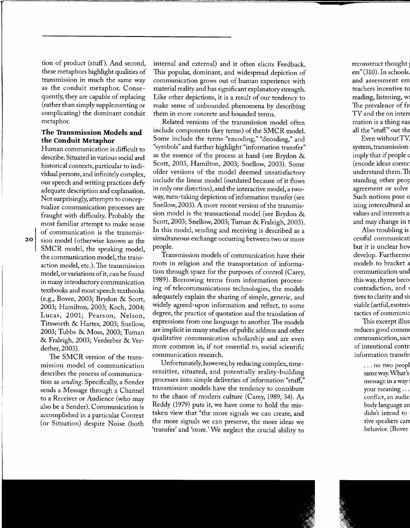tion of product (stuff). And second, these metaphors highlight qualities of transmission in much the same way as the conduit metaphor. Consequently, they are capable of replacing (rather than simply supplementing or complicating) the dominant conduit metaphor.

#### **The 'Iransmission Models and the Conduit Metaphor**

Human communication is difficult to describe. Situated in various social and historical contexts, particular to individual persons, and infinitely complex, our speech and writing practices defy adequate description and explanation. Not surprisingly, attempts to conceptualize communication processes are fraught with difficulty. Probably the most familiar attempt to make sense of communication is the transmission model (otherwise known as the SMCR model, the speaking model, the communication model, the transaction model, etc.). The transmission model, or variations of it, can be found in many introductory communication textbooks and most speech textbooks (e.g., Bovee, 2003; Brydon & Scott, 2003; Hamilton, 2003; Koch, 2004; Lucas, 2001; Pearson, Nelson, Titsworth & Harter, 2003; Snellow, 2003; Tubbs & Moss, 2003; Tuman & Fraleigh, 2003; Verderber & Verderber, 2003).

The SMCR version of the transmission model of communication describes the process of communication as *sending.* Specifically, a Sender sends a Message through a Channel to a Receiver or Audience (who may also be a Sender). Communication is accomplished in a particular Context (or Situation) despite Noise (both

internal and external) and it often elicits Feedback. This popular, dominant, and widespread depiction of communication grows out of human experience with material reality and has significant explanatory strength. Like other depictions, it is a result of our tendency to make sense of unbounded phenomena by describing them in more concrete and bounded terms.

Related versions of the transmission model often include components (key terms) of the SMCR model. Some include the terms "encoding," "decoding," and "symbols" and further highlight "information transfer" as the essence of the process at hand (see Brydon & Scott, 2003, Hamilton, 2003; Snellow, 2003). Some older versions of the model deemed unsatisfactory include the linear model (outdated because of it flows in only one direction), and the interactive model, a twoway, turn-taking depiction of information transfer (see Snellow, 2003). A more recent version of the transmission model is the transactional model (see Brydon & Scott, 2003; Snellow, 2003; Tuman & Fraleigh, 2003). In this model, sending and receiving is described as a simultaneous exchange occurring between two or more people.

Transmission models of communication have their roots in religion and the transportation of information through space for the purposes of control (Carey, 1989). Borrowing terms from information processing of telecommunications technologies, the models adequately explain the sharing of simple, generic, and widely agreed-upon information and reflect, to some degree, the practice of quotation and the translation of expressions from one language to another. The models are implicit in many studies of public address and other qualitative communication scholarship and are even more common in, if not essential to, social scientific communication research.

Unfortunately, however, by reducing complex, timesensitive, situated, and potentially reality-building processes into simple deliveries of information "stuff," transmission models have the tendency to contribute to the chaos of modern culture (Carey, 1989, 34). As Reddy (1979) puts it, we have come to hold the mistaken view that "the more signals we can create, and the more signals we can preserve, the more ideas we 'transfer' and 'store.' We neglect the crucial ability to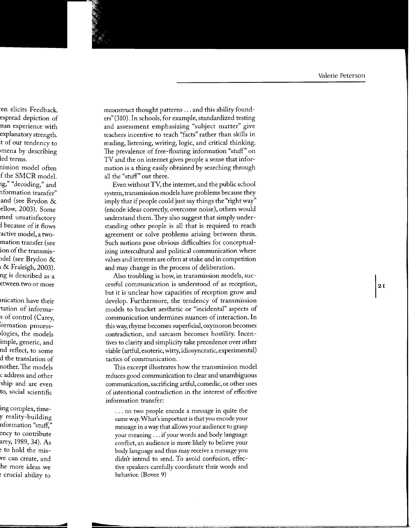reconstruct thought patterns ... and this ability founders" (310). In schools, for example, standardized testing and assessment emphasizing "subject matter" give teachers incentive to teach "facts" rather than skills in reading, listening, writing, logic, and critical thinking. The prevalence of free-floating information "stuff" on TV and the on internet gives people a sense that information is a thing easily obtained by searching through all the "stuff" out there.

Even without TV, the internet, and the public school system, transmission models have problems because they imply that if people could just say things the "right way" (encode ideas correctly, overcome noise), others would understand them. They also suggest that simply understanding other people is all that is required to reach agreement or solve problems arising between them. Such notions pose obvious difficulties for conceptualizing intercultural and political communication where values and interests are often at stake and in competition and may change in the process of deliberation.

Also troubling is how, in transmission models, successful communication is understood of as reception, but it is unclear how capacities of reception grow and develop. Furthermore, the tendency of transmission models to bracket aesthetic or "incidental" aspects of communication undermines nuances of interaction. In this way, rhyme becomes superficial, oxymoron becomes contradiction, and sarcasm becomes hostility. Incentives to clarity and simplicity take precedence over other viable (artful, esoteric, witty, idiosyncratic, experimental) tactics of communication.

This excerpt illustrates how the transmission model reduces good communication to clear and unambiguous communication, sacrificing artful, comedic, or other uses of intentional contradiction in the interest of effective information transfer:

... no two people encode a message in quite the same way. What's important is that you encode your message in a way that allows your audience to grasp your meaning ... if your words and body language conflict, an audience is more likely to believe your body language and thus may receive a message you didn't intend to send. To avoid confusion, effective speakers carefully coordinate their words and behavior. (Bovee 9)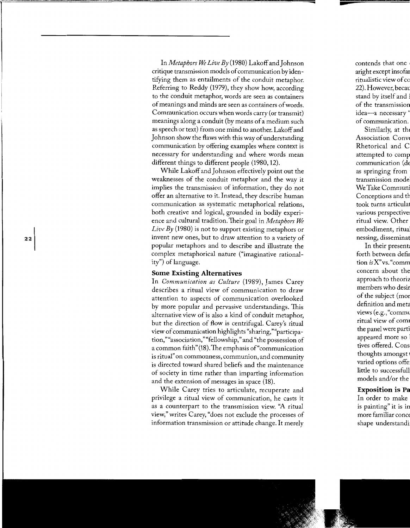In *Metaphors We Live By* (1980) Lakoff and Johnson critique transmission models of communication by identifying them as entailments of the conduit metaphor. Referring to Reddy (1979), they show how, according to the conduit metaphor, words are seen as containers of meanings and minds are seen as containers of words. Communication occurs when words carry (or transmit) meanings along a conduit (by means of a medium such as speech or text) from one mind to another. Lakoff and Johnson show the flaws with this way of understanding communication by offering examples where context is necessary for understanding and where words mean different things to different people (1980, 12).

While Lakoff and Johnson effectively point out the weaknesses of the conduit metaphor and the way it implies the transmission of information, they do not offer an alternative to it. Instead, they describe human communication as systematic metaphorical relations, both creative and logical, grounded in bodily experience and cultural tradition. Their goal in *Metaphors We Live By* (1980) is not to support existing metaphors or invent new ones, but to draw attention to a variety of popular metaphors and to describe and illustrate the complex metaphorical nature ("imaginative rationality") of language.

#### **Some Existing Alternatives**

In *Communication as Culture* (1989), James Carey describes a ritual view of communication to draw attention to aspects of communication overlooked by more popular and pervasive understandings. This alternative view of is also a kind of conduit metaphor, but the direction of flow is centrifugal. Carey's ritual view of communication highlights "sharing,""participation,""association,""fellowship," and "the possession of a common faith" (18). The emphasis of "communication" is ritual" on commonness, communion, and community is directed toward shared beliefs and the maintenance of society in time rather than imparting information and the extension of messages in space (18).

While Carey tries to articulate, recuperate and privilege a ritual view of communication, he casts it as a counterpart to the transmission view. "A ritual view," writes Carey, "does not exclude the processes of information transmission or attitude change. It merely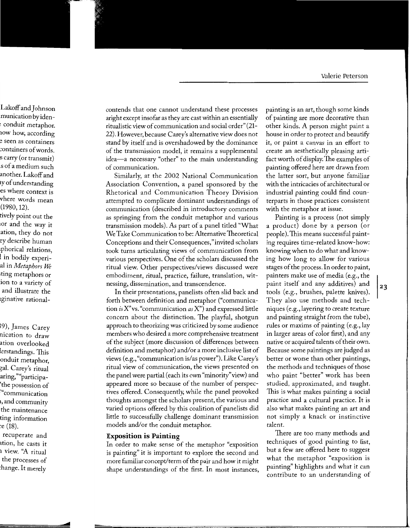contends that one cannot understand these processes aright except insofar as they are cast within an essentially ritualistic view of communication and social order" (21- 22). However, because Carey's alternative view does not stand by itself and is overshadowed by the dominance of the transmission model, it remains a supplemental idea-a necessary "other" to the main understanding of communication.

Similarly, at the 2002 National Communication Association Convention, a panel sponsored by the Rhetorical and Communication Theory Division attempted to complicate dominant understandings of communication (described in introductory comments as springing from the conduit metaphor and various transmission models). As part of a panel titled "What We Take Communication to be: Alternative Theoretical Conceptions and their Consequences," invited scholars took turns articulating views of communication from various perspectives. One of the scholars discussed the ritual view. Other perspectives/views discussed were embodiment, ritual, practice, failure, translation, witnessing, dissemination, and transcendence.

In their presentations, panelists often slid back and forth between definition and metaphor ("communication *is* X"vs. "communication *as* X") and expressed little concern about the distinction. The playful, shotgun approach to theorizing was criticized by some audience members who desired a more comprehensive treatment of the subject (more discussion of differences between definition and metaphor) and/or a more inclusive list of views (e.g., "communication is/as power"). Like Carey's ritual view of communication, the views presented on the panel were partial (each its own "minority" view) and appeared more so because of the number of perspectives offered. Consequently, while the panel provoked thoughts amongst the scholars present, the various and varied options offered by this coalition of panelists did little to successfully challenge dominant transmission models and/or the conduit metaphor.

#### **Exposition is Painting**

In order to make sense of the metaphor "exposition is painting" it is important to explore the second and more familiar concept/term of the pair and how it might shape understandings of the first. In most instances, painting is an art, though some kinds of painting are more decorative than other kinds. A person might paint a house in order to protect and beautify it, or paint a canvas in an effort to create an aesthetically pleasing artifact worth of display. The examples of painting offered here are drawn from the latter sort, but anyone familiar with the intricacies of architectural or industrial painting could find counterparts in those practices consistent with the metaphor at issue.

Painting is a process (not simply a product) done by a person (or people). This means successful painting requires time-related know-how: knowing when to do what and knowing how long to allow for various stages of the process. In order to paint, painters make use of media (e.g., the paint itself and any additives) and tools (e.g., brushes, palette knives). They also use methods and techniques (e.g., layering to create texture and painting straight from the tube), rules or maxims of painting (e.g., lay in larger areas of color first), and any native or acquired talents of their own. Because some paintings are judged as better or worse than other paintings, the methods and techniques of those who paint "better" work has been studied, approximated, and taught. This is what makes painting a social practice and a cultural practice. It is also what makes painting an art and not simply a knack or instinctive talent.

There are too many methods and techniques of good painting to list, but a few are offered here to suggest what the metaphor "exposition is painting" highlights and what it can contribute to an understanding of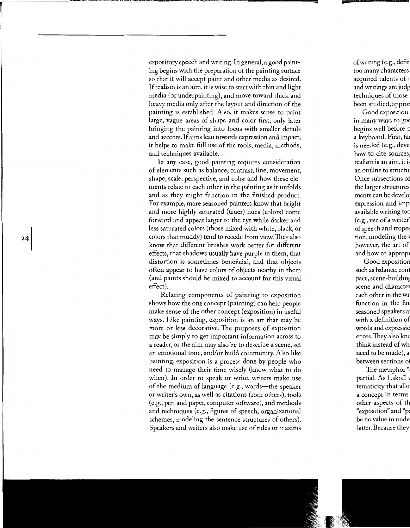expository speech and writing. In general, a good painting begins with the preparation of the painting surface so that it will accept paint and other media as desired. If realism is an aim, it is wise to start with thin and light media (or underpainting), and move toward thick and heavy media only after the layout and direction of the painting is established. Also, it makes sense to paint large, vague areas of shape and color first, only later bringing the painting into focus with smaller details and accents. If aims lean towards expression and impact, it helps to make full use of the tools, media, methods, and techniques available.

In any case, good painting requires consideration of elements such as balance, contrast, line, movement, shape, scale, perspective, and color and how these elements relate to each other in the painting as it unfolds and as they might function in the finished product. For example, more seasoned painters know that bright and more highly saturated (truer) hues (colors) come forward and appear larger to the eye while darker and less saturated colors (those mixed with white, black, or colors that muddy) tend to recede from view. They also know that different brushes work better for different effects, that shadows usually have purple in them, that distortion is sometimes beneficial, and that objects often appear to have colors of objects nearby in them (and paints should be mixed to account for this visual effect).

Relating components of painting to exposition shows how the one concept (painting) can help people make sense of the other concept (exposition) in useful ways. Like painting, exposition is an art that may be more or less decorative. The purposes of exposition may be simply to get important information across to a reader, or the aim may also be to describe a scene, set an emotional tone, and/or build community. Also like painting, exposition is a process done by people who need to manage their time wisely (know what to do when). In order to speak or write, writers make use of the medium of language (e.g., words—the speaker or writer's own, as well as citations from others), tools (e.g., pen and paper, computer software), and methods and techniques (e.g., figures of speech, organizational schemes, modeling the sentence structures of others). Speakers and writers also make use of rules or maxims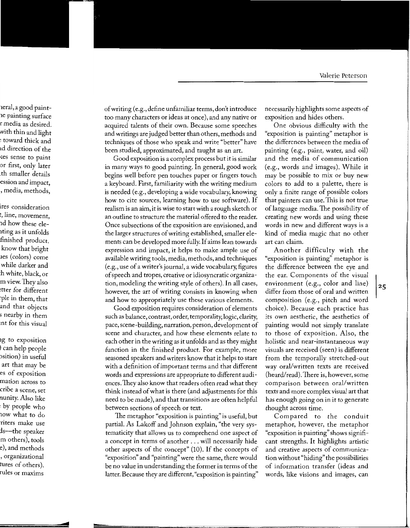of writing (e.g., define unfamiliar terms, don't introduce too many characters or ideas at once), and any native or acquired talents of their own. Because some speeches and writings are judged better than others, methods and techniques of those who speak and write "better" have been studied, approximated, and taught as an art.

Good exposition is a complex process but it is similar in many ways to good painting. In general, good work begins well before pen touches paper or fingers touch a keyboard. First, familiarity with the writing medium is needed (e.g., developing a wide vocabulary, knowing how to cite sources, learning how to use software). If realism is an aim, it is wise to start with a rough sketch or an outline to structure the material offered to the reader. Once subsections of the exposition are envisioned, and the larger structures of writing established, smaller elements can be developed more fully. If aims lean towards expression and impact, it helps to make ample use of available writing tools, media, methods, and techniques (e.g., use of a writer's journal, a wide vocabulary, figures of speech and tropes, creative or idiosyncratic organization, modeling the writing style of others). In all cases, however, the art of writing consists in knowing when and how to appropriately use these various elements.

Good exposition requires consideration of elements such as balance, contrast, order, temporality, logic, clarity, pace, scene-building, narration, person, development of scene and character, and how these elements relate to each other in the writing as it unfolds and as they might function in the finished product. For example, more seasoned speakers and writers know that it helps to start with a definition of important terms and that different words and expressions are appropriate to different audiences. They also know that readers often read what they think instead of what is there (and adjustments for this need to be made), and that transitions are often helpful between sections of speech or text.

The metaphor "exposition is painting" is useful, but partial. As Lakoff and Johnson explain, "the very systematicity that allows us to comprehend one aspect of a concept in terms of another ... will necessarily hide other aspects of the concept" (10). If the concepts of "exposition" and "painting" were the same, there would be no value in understanding the former in terms of the latter. Because they are different, "exposition is painting"

necessarily highlights some aspects of exposition and hides others.

One obvious difficulty with the "exposition is painting" metaphor is the differences between the media of painting (e.g., paint, water, and oil) and the media of communication (e.g., words and images). While it may be possible to mix or buy new colors to add to a palette, there is only a finite range of possible colors that painters can use. This is not true oflanguage media. The possibility of creating new words and using these words in new and different ways is a kind of media magic that no other art can claim.

Another difficulty with the "exposition is painting" metaphor is the difference between the eye and the ear. Components of the visual environment (e.g., color and line) differ from those of oral and written composition (e.g., pitch and word choice). Because each practice has its own aesthetic, the aesthetics of painting would not simply translate to those of exposition. Also, the holistic and near-instantaneous way visuals are received (seen) is different from the temporally stretched-out way oral/written texts are received (heard/read). There is, however, some comparison between oral/written texts and more complex visual art that has enough going on in it to generate thought across time.

Compared to the conduit metaphor, however, the metaphor "exposition is painting" shows significant strengths. It highlights artistic and creative aspects of communication without "hiding" the possibilities of information transfer (ideas and words, like visions and images, can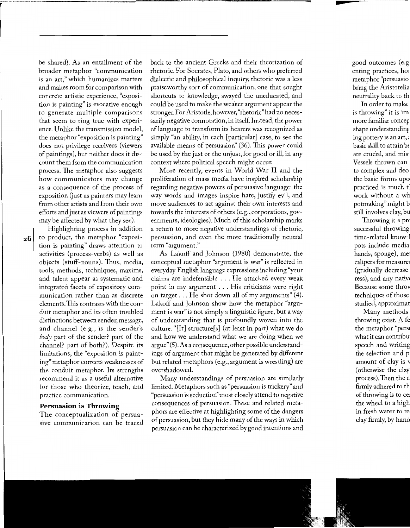be shared). As an entailment of the broader metaphor "communication is an art," which humanizes matters and makes room for comparison with concrete artistic experience, "exposition is painting" is evocative enough to generate multiple comparisons that seem to ring true with experience. Unlike the transmission model, the metaphor "exposition is painting" does not privilege receivers (viewers of paintings), but neither does it discount them from the communication process. The metaphor also suggests how communicators may change as a consequence of the process of exposition (just as painters may learn from other artists and from their own efforts and just as viewers of paintings may be affected by what they see).

Highlighting process in addition to product, the metaphor "exposition is painting" draws attention to activities (process-verbs) as well as objects (stuff-nouns). Thus, media, tools, methods, techniques, maxims, and talent appear as systematic and integrated facets of expository communication rather than as discrete elements. This contrasts with the conduit metaphor and its often troubled distinctions between sender, message, and channel (e.g., is the sender's *body* part of the sender? part of the channel? part of both?). Despite its limitations, the "exposition is painting" metaphor corrects weaknesses of the conduit metaphor. Its strengths recommend it as a useful alternative for those who theorize, teach, and practice communication.

#### **Persuasion is Throwing**

The conceptualization of persuasive communication can be traced back to the ancient Greeks and their theorization of rhetoric. For Socrates, Plato, and others who preferred dialectic and philosophical inquiry, rhetoric was a less praiseworthy sort of communication, one that sought shortcuts to knowledge, swayed the uneducated, and could be used to make the weaker argument appear the stronger. For Aristotle, however, "rhetoric" had no necessarily negative connotation, in itself. Instead, the power of language to transform its hearers was recognized as simply "an ability, in each [particular] case, to see the available means of persuasion'' (36). This power could be used by the just or the unjust, for good or ill, in any context where political speech might occur.

More recently, events in World War II and the proliferation of mass media have inspired scholarship regarding negative powers of persuasive language: the way words and images inspire hate, justify evil, and move audiences to act against their own interests and towards the interests of others (e.g., corporations, governments, ideologies). Much of this scholarship marks a return to more negative understandings of rhetoric, persuasion, and even the more traditionally neutral term "argument."

As Lakoff and Johnson (1980) demonstrate, the conceptual metaphor "argument is war" is reflected in everyday English language expressions including "your claims are indefensible ... He attacked every weak point in my argument ... His criticisms were right on target ... He shot down all of my arguments" (4). Lakoff and Johnson show how the metaphor "argument is war" is not simply a linguistic figure, but a way of understanding that is profoundly woven into the culture. "[It] structure[s] (at least in part) what we do and how we understand what we are doing when we argue" (5). As a consequence, other possible understandings of argument that might be generated by different but related metaphors (e.g., argument is wrestling) are overshadowed.

Many understandings of persuasion are similarly limited. Metaphors such as "persuasion is trickery" and "persuasion is seduction'' most closely attend to negative consequences of persuasion. These and related metaphors are effective at highlighting some of the dangers of persuasion, but they hide many of the ways in which persuasion can be characterized by good intentions and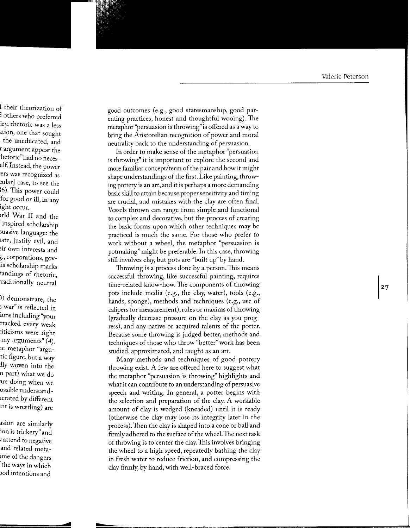good outcomes (e.g., good statesmanship, good parenting practices, honest and thoughtful wooing). The metaphor "persuasion is throwing" is offered as a way to bring the Aristotelian recognition of power and moral neutrality back to the understanding of persuasion.

In order to make sense of the metaphor "persuasion" is throwing" it is important to explore the second and more familiar concept/term of the pair and how it might shape understandings of the first. Like painting, throwing pottery is an art, and it is perhaps a more demanding basic skill to attain because proper sensitivity and timing are crucial, and mistakes with the clay are often final. Vessels thrown can range from simple and functional to complex and decorative, but the process of creating the basic forms upon which other techniques may be practiced is much the same. For those who prefer to work without a wheel, the metaphor "persuasion is potmaking" might be preferable. In this case, throwing still involves clay, but pots are "built up" by hand.

Throwing is a process done by a person. This means successful throwing, like successful painting, requires time-related know-how. The components of throwing pots include media (e.g., the clay, water), tools (e.g., hands, sponge), methods and techniques (e.g., use of calipers for measurement), rules or maxims of throwing (gradually decrease pressure on the clay as you progress), and any native or acquired talents of the potter. Because some throwing is judged better, methods and techniques of those who throw "better" work has been studied, approximated, and taught as an art.

Many methods and techniques of good pottery throwing exist. A few are offered here to suggest what the metaphor "persuasion is throwing" highlights and what it can contribute to an understanding of persuasive speech and writing. In general, a potter begins with the selection and preparation of the clay. A workable amount of clay is wedged (kneaded) until it is ready (otherwise the clay may lose its integrity later in the process). Then the clay is shaped into a cone or ball and firmly adhered to the surface of the wheel. The next task of throwing is to center the clay. This involves bringing the wheel to a high speed, repeatedly bathing the clay in fresh water to reduce friction, and compressing the clay firmly, by hand, with well-braced force.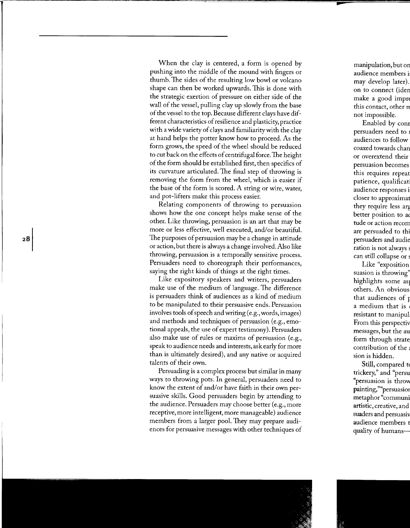When the clay is centered, a form is opened by pushing into the middle of the mound with fingers or thumb. The sides of the resulting low bowl or volcano shape can then be worked upwards. This is done with the strategic exertion of pressure on either side of the wall of the vessel, pulling clay up slowly from the base of the vessel to the top. Because different clays have different characteristics of resilience and plasticity, practice with a wide variety of clays and familiarity with the clay at hand helps the potter know how to proceed. As the form grows, the speed of the wheel should be reduced to cut back on the effects of centrifugal force. The height of the form should be established first, then specifics of its curvature articulated. The final step of throwing is removing the form from the wheel, which is easier if the base of the form is scored. A string or wire, water, and pot-lifters make this process easier.

Relating components of throwing to persuasion shows how the one concept helps make sense of the other. Like throwing, persuasion is an art that may be more or less effective, well executed, and/or beautiful. The purposes of persuasion may be a change in attitude or action, but there is always a change involved. Also like throwing, persuasion is a temporally sensitive process. Persuaders need to choreograph their performances, saying the right kinds of things at the right times.

Like expository speakers and writers, persuaders make use of the medium of language. The difference is persuaders think of audiences as a kind of medium to be manipulated to their persuasive ends. Persuasion involves tools of speech and writing (e.g., words, images) and methods and techniques of persuasion (e.g., emotional appeals, the use of expert testimony). Persuaders also make use of rules or maxims of persuasion (e.g., speak to audience needs and interests, ask early for more than is ultimately desired), and any native or acquired talents of their own.

Persuading is a complex process but similar in many ways to throwing pots. In general, persuaders need to know the extent of and/or have faith in their own persuasive skills. Good persuaders begin by attending to the audience. Persuaders may choose better (e.g., more receptive, more intelligent, more manageable) audience members from a larger pool. They may prepare audiences for persuasive messages with other techniques of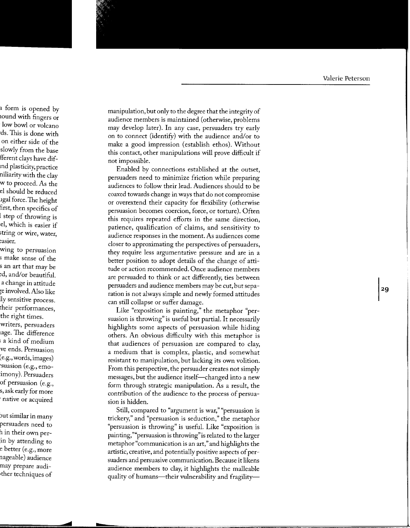manipulation, but only to the degree that the integrity of audience members is maintained (otherwise, problems may develop later). In any case, persuaders try early on to connect (identify) with the audience and/or to make a good impression (establish ethos). Without this contact, other manipulations will prove difficult if not impossible.

Enabled by connections established at the outset, persuaders need to minimize friction while preparing audiences to follow their lead. Audiences should to be coaxed towards change in ways that do not compromise or overextend their capacity for flexibility (otherwise persuasion becomes coercion, force, or torture). Often this requires repeated efforts in the same direction, patience, qualification of claims, and sensitivity to audience responses in the moment. As audiences come closer to approximating the perspectives of persuaders, they require less argumentative pressure and are in a better position to adopt details of the change of attitude or action recommended. Once audience members are persuaded to think or act differently, ties between persuaders and audience members may be cut, but separation is not always simple and newly formed attitudes can still collapse or suffer damage.

Like "exposition is painting," the metaphor "persuasion is throwing" is useful but partial. It necessarily highlights some aspects of persuasion while hiding others. An obvious difficulty with this metaphor is that audiences of persuasion are compared to clay, a medium that is complex, plastic, and somewhat resistant to manipulation, but lacking its own volition. From this perspective, the persuader creates not simply messages, but the audience itself-changed into a new form through strategic manipulation. As a result, the contribution of the audience to the process of persuasion is hidden.

Still, compared to "argument is war," "persuasion is trickery," and "persuasion is seduction," the metaphor "persuasion is throwing" is useful. Like "exposition is painting,""persuasion is throwing" is related to the larger metaphor "communication is an art," and highlights the artistic, creative, and potentially positive aspects of persuaders and persuasive communication. Because it likens audience members to clay, it highlights the malleable quality of humans—their vulnerability and fragility—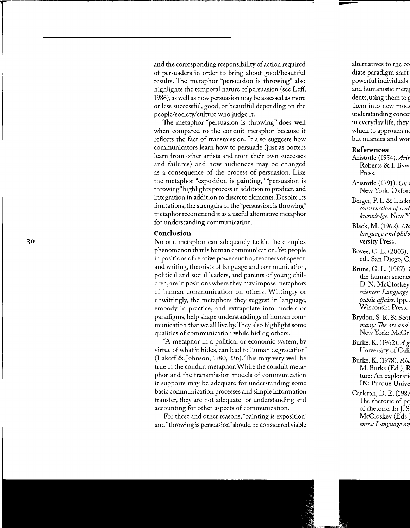and the corresponding responsibility of action required of persuaders in order to bring about good/beautiful results. The metaphor "persuasion is throwing" also highlights the temporal nature of persuasion (see Leff, 1986), as well as how persuasion may be assessed as more or less successful, good, or beautiful depending on the people/society/culture who judge it.

The metaphor "persuasion is throwing" does well when compared to the conduit metaphor because it reflects the fact of transmission. It also suggests how communicators learn how to persuade (just as potters learn from other artists and from their own successes and failures) and how audiences may be changed as a consequence of the process of persuasion. Like the metaphor "exposition is painting," "persuasion is throwing" highlights process in addition to product, and integration in addition to discrete elements. Despite its limitations, the strengths of the "persuasion is throwing" metaphor recommend it as a useful alternative metaphor for understanding communication.

#### **Conclusion**

No one metaphor can adequately tackle the complex phenomenon that is human communication. Yet people in positions of relative power such as teachers of speech and writing, theorists oflanguage and communication, political and social leaders, and parents of young children, are in positions where they may impose metaphors of human communication on others. Wittingly or unwittingly, the metaphors they suggest in language, embody in practice, and extrapolate into models or paradigms, help shape understandings of human communication that we all live by. They also highlight some qualities of communication while hiding others.

''A metaphor in a political or economic system, by virtue of what it hides, can lead to human degradation'' (Lakoff & Johnson, 1980, 236). This may very well be true of the conduit metaphor. While the conduit metaphor and the transmission models of communication it supports may be adequate for understanding some basic communication processes and simple information transfer, they are not adequate for understanding and accounting for other aspects of communication.

For these and other reasons, "painting is exposition'' and "throwing is persuasion'' should be considered viable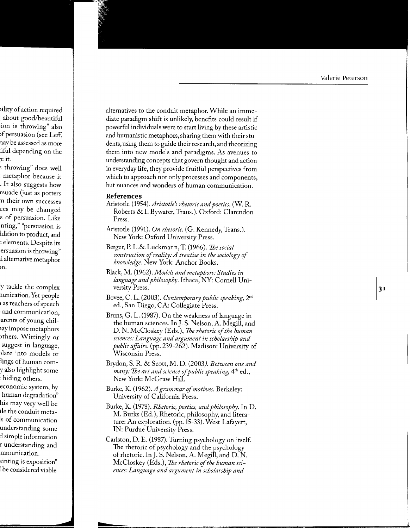alternatives to the conduit metaphor. While an immediate paradigm shift is unlikely, benefits could result if powerful individuals were to start living by these artistic and humanistic metaphors, sharing them with their students, using them to guide their research, and theorizing them into new models and paradigms. As avenues to understanding concepts that govern thought and action in everyday life, they provide fruitful perspectives from which to approach not only processes and components, but nuances and wonders of human communication.

#### References

- Aristotle (1954). Aristotle's rhetoric and poetics. (W. R. Roberts & I. Bywater, Trans.). Oxford: Clarendon Press.
- Aristotle (1991). On rhetoric. (G. Kennedy, Trans.). New York: Oxford University Press.
- Berger, P. L.& Luckmann, T. (1966). The social construction of reality: A treatise in the sociology of knowledge. New York: Anchor Books.
- Black, M. (1962). Models and metaphors: Studies in language and philosophy. Ithaca, NY: Cornell University Press.
- Bovee, C. L. (2003). Contemporary public speaking, 2<sup>nd</sup> ed., San Diego, CA: Collegiate Press.
- Bruns, G. L. (1987). On the weakness of language in the human sciences. In J. S. Nelson, A. Megill, and D. N. McCloskey (Eds.), The rhetoric of the human sciences: Language and argument in scholarship and *public affairs.* (pp. 239-262). Madison: University of Wisconsin Press.
- Brydon, S. R. & Scott, M. D. (2003). Between one and *many: The art and science of public speaking*, 4<sup>th</sup> ed., New York: McGraw Hill.
- Burke, K. (1962). A grammar of motives. Berkeley: University of California Press.
- Burke, K. (1978). *Rhetoric, poetics, and philosophy*. In D. M. Burks (Ed.), Rhetoric, philosophy, and literature: An exploration. (pp. 15-33). West Lafayett, IN: Purdue University Press.
- Carlston, D. E. (1987). Turning psychology on itself. The rhetoric of psychology and the psychology of rhetoric. In J. S. Nelson, A. Megill, and D. N. McCloskey (Eds.), The rhetoric of the human sciences: Language and argument in scholarship and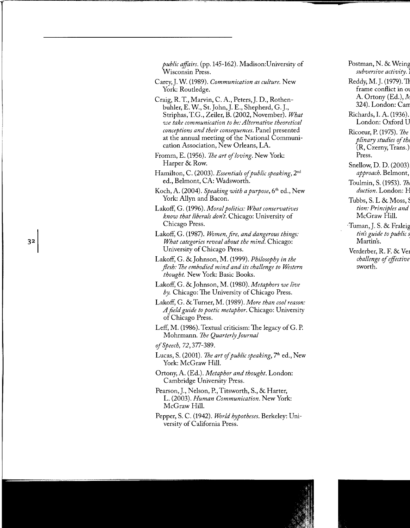*public affairs.* (pp.145-162). Madison: University of Wisconsin Press.

- Carey,]. W. (1989). *Communication as culture.* New York: Routledge.
- Craig, R. T., Marvin, C. A., Peters,]. D., Rothenbuhler, E. W., St.John,]. E., Shepherd, G.J., Striphas, T.G., Zeiler, B. (2002, November). *What we take communication to be: Alternative theoretical conceptions and their consequences.* Panel presented at the annual meeting of the National Communication Association, New Orleans, LA.
- Fromm, E. (1956). *The art of loving.* New York: Harper & Row.
- Hamilton, C. (2003). *Essentials of public speaking,* 2nd ed., Belmont, CA: Wadsworth.
- Koch, A. (2004). *Speaking with a purpose,* 6'h ed., New York: Allyn and Bacon.
- Lakoff, G. (1996). *Moral politics: What conservatives know that liberals don't.* Chicago: University of Chicago Press.
- Lakoff, G. (1987). *Women, fire, and dangerous things: What categories reveal about the mind.* Chicago: University of Chicago Press.
- Lakoff, G. &Johnson, M. (1999). *Philosophy in the flesh: The embodied mind and its challenge to Western thought.* New York: Basic Books.
- Lakoff, G. &Johnson, M. (1980). *Metaphors we live by.* Chicago: The University of Chicago Press.
- Lakoff, G. & Turner, M. (1989). *More than cool reason: A field guide to poetic metaphor.* Chicago: University of Chicago Press.
- Leff, M. (1986). Textual criticism: The legacy of G. P. Mohrmann. *The Quarterly journal*

*ofSpeech,* 72,377-389.

- Lucas, S. (2001). *The art of public speaking,* 7'h ed., New York: McGraw Hill.
- Ortony, A. (Ed.). *Metaphor and thought.* London: Cambridge University Press.
- Pearson,]., Nelson, P., Titsworth, S., & Harter, L. (2003). *Human Communication.* New York: McGraw Hill.
- Pepper, S.C. (1942). *World hypotheses.* Berkeley: University of California Press.